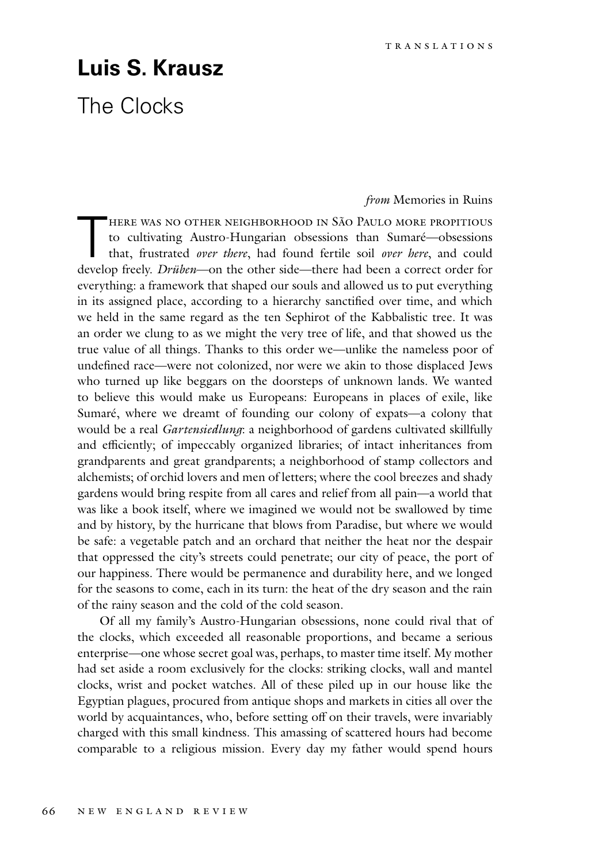## **Luis S. Krausz**

## The Clocks

## *from* Memories in Ruins

HERE WAS NO OTHER NEIGHBORHOOD IN SÃO PAULO MORE PROPITIOUS<br>to cultivating Austro-Hungarian obsessions than Sumaré—obsessions<br>that, frustrated *over there*, had found fertile soil *over here*, and could<br>davalop freely. Dri to cultivating Austro-Hungarian obsessions than Sumaré—obsessions that, frustrated *over there*, had found fertile soil *over here*, and could develop freely. *Drüben*—on the other side—there had been a correct order for everything: a framework that shaped our souls and allowed us to put everything in its assigned place, according to a hierarchy sanctified over time, and which we held in the same regard as the ten Sephirot of the Kabbalistic tree. It was an order we clung to as we might the very tree of life, and that showed us the true value of all things. Thanks to this order we—unlike the nameless poor of undefined race—were not colonized, nor were we akin to those displaced Jews who turned up like beggars on the doorsteps of unknown lands. We wanted to believe this would make us Europeans: Europeans in places of exile, like Sumaré, where we dreamt of founding our colony of expats—a colony that would be a real *Gartensiedlung*: a neighborhood of gardens cultivated skillfully and efficiently; of impeccably organized libraries; of intact inheritances from grandparents and great grandparents; a neighborhood of stamp collectors and alchemists; of orchid lovers and men of letters; where the cool breezes and shady gardens would bring respite from all cares and relief from all pain—a world that was like a book itself, where we imagined we would not be swallowed by time and by history, by the hurricane that blows from Paradise, but where we would be safe: a vegetable patch and an orchard that neither the heat nor the despair that oppressed the city's streets could penetrate; our city of peace, the port of our happiness. There would be permanence and durability here, and we longed for the seasons to come, each in its turn: the heat of the dry season and the rain of the rainy season and the cold of the cold season.

Of all my family's Austro-Hungarian obsessions, none could rival that of the clocks, which exceeded all reasonable proportions, and became a serious enterprise—one whose secret goal was, perhaps, to master time itself. My mother had set aside a room exclusively for the clocks: striking clocks, wall and mantel clocks, wrist and pocket watches. All of these piled up in our house like the Egyptian plagues, procured from antique shops and markets in cities all over the world by acquaintances, who, before setting off on their travels, were invariably charged with this small kindness. This amassing of scattered hours had become comparable to a religious mission. Every day my father would spend hours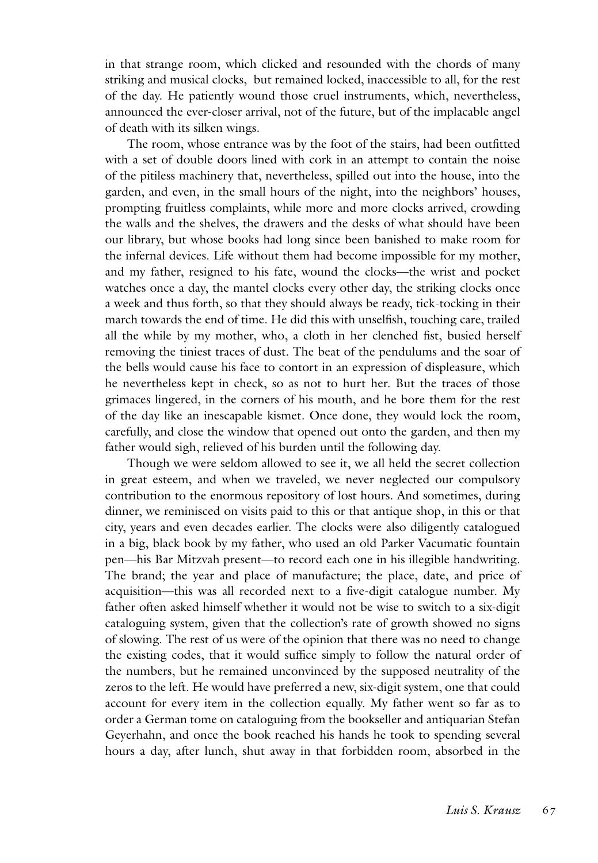in that strange room, which clicked and resounded with the chords of many striking and musical clocks, but remained locked, inaccessible to all, for the rest of the day. He patiently wound those cruel instruments, which, nevertheless, announced the ever-closer arrival, not of the future, but of the implacable angel of death with its silken wings.

The room, whose entrance was by the foot of the stairs, had been outfitted with a set of double doors lined with cork in an attempt to contain the noise of the pitiless machinery that, nevertheless, spilled out into the house, into the garden, and even, in the small hours of the night, into the neighbors' houses, prompting fruitless complaints, while more and more clocks arrived, crowding the walls and the shelves, the drawers and the desks of what should have been our library, but whose books had long since been banished to make room for the infernal devices. Life without them had become impossible for my mother, and my father, resigned to his fate, wound the clocks—the wrist and pocket watches once a day, the mantel clocks every other day, the striking clocks once a week and thus forth, so that they should always be ready, tick-tocking in their march towards the end of time. He did this with unselfish, touching care, trailed all the while by my mother, who, a cloth in her clenched fist, busied herself removing the tiniest traces of dust. The beat of the pendulums and the soar of the bells would cause his face to contort in an expression of displeasure, which he nevertheless kept in check, so as not to hurt her. But the traces of those grimaces lingered, in the corners of his mouth, and he bore them for the rest of the day like an inescapable kismet. Once done, they would lock the room, carefully, and close the window that opened out onto the garden, and then my father would sigh, relieved of his burden until the following day.

Though we were seldom allowed to see it, we all held the secret collection in great esteem, and when we traveled, we never neglected our compulsory contribution to the enormous repository of lost hours. And sometimes, during dinner, we reminisced on visits paid to this or that antique shop, in this or that city, years and even decades earlier. The clocks were also diligently catalogued in a big, black book by my father, who used an old Parker Vacumatic fountain pen—his Bar Mitzvah present—to record each one in his illegible handwriting. The brand; the year and place of manufacture; the place, date, and price of acquisition—this was all recorded next to a five-digit catalogue number. My father often asked himself whether it would not be wise to switch to a six-digit cataloguing system, given that the collection's rate of growth showed no signs of slowing. The rest of us were of the opinion that there was no need to change the existing codes, that it would suffice simply to follow the natural order of the numbers, but he remained unconvinced by the supposed neutrality of the zeros to the left. He would have preferred a new, six-digit system, one that could account for every item in the collection equally. My father went so far as to order a German tome on cataloguing from the bookseller and antiquarian Stefan Geyerhahn, and once the book reached his hands he took to spending several hours a day, after lunch, shut away in that forbidden room, absorbed in the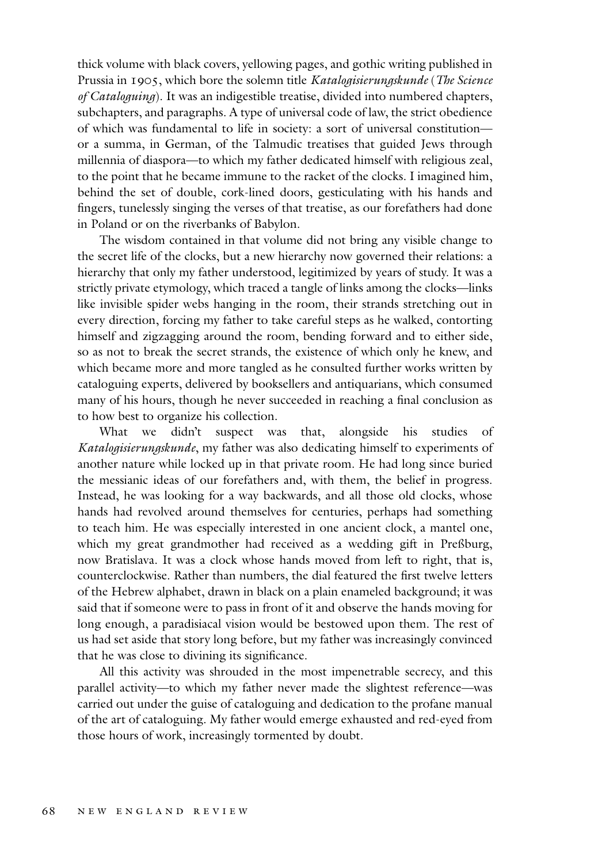thick volume with black covers, yellowing pages, and gothic writing published in Prussia in 1905, which bore the solemn title *Katalogisierungskunde* (*The Science of Cataloguing*). It was an indigestible treatise, divided into numbered chapters, subchapters, and paragraphs. A type of universal code of law, the strict obedience of which was fundamental to life in society: a sort of universal constitution or a summa, in German, of the Talmudic treatises that guided Jews through millennia of diaspora—to which my father dedicated himself with religious zeal, to the point that he became immune to the racket of the clocks. I imagined him, behind the set of double, cork-lined doors, gesticulating with his hands and fingers, tunelessly singing the verses of that treatise, as our forefathers had done in Poland or on the riverbanks of Babylon.

The wisdom contained in that volume did not bring any visible change to the secret life of the clocks, but a new hierarchy now governed their relations: a hierarchy that only my father understood, legitimized by years of study. It was a strictly private etymology, which traced a tangle of links among the clocks—links like invisible spider webs hanging in the room, their strands stretching out in every direction, forcing my father to take careful steps as he walked, contorting himself and zigzagging around the room, bending forward and to either side, so as not to break the secret strands, the existence of which only he knew, and which became more and more tangled as he consulted further works written by cataloguing experts, delivered by booksellers and antiquarians, which consumed many of his hours, though he never succeeded in reaching a final conclusion as to how best to organize his collection.

What we didn't suspect was that, alongside his studies of *Katalogisierungskunde*, my father was also dedicating himself to experiments of another nature while locked up in that private room. He had long since buried the messianic ideas of our forefathers and, with them, the belief in progress. Instead, he was looking for a way backwards, and all those old clocks, whose hands had revolved around themselves for centuries, perhaps had something to teach him. He was especially interested in one ancient clock, a mantel one, which my great grandmother had received as a wedding gift in Preßburg, now Bratislava. It was a clock whose hands moved from left to right, that is, counterclockwise. Rather than numbers, the dial featured the first twelve letters of the Hebrew alphabet, drawn in black on a plain enameled background; it was said that if someone were to pass in front of it and observe the hands moving for long enough, a paradisiacal vision would be bestowed upon them. The rest of us had set aside that story long before, but my father was increasingly convinced that he was close to divining its significance.

All this activity was shrouded in the most impenetrable secrecy, and this parallel activity—to which my father never made the slightest reference—was carried out under the guise of cataloguing and dedication to the profane manual of the art of cataloguing. My father would emerge exhausted and red-eyed from those hours of work, increasingly tormented by doubt.